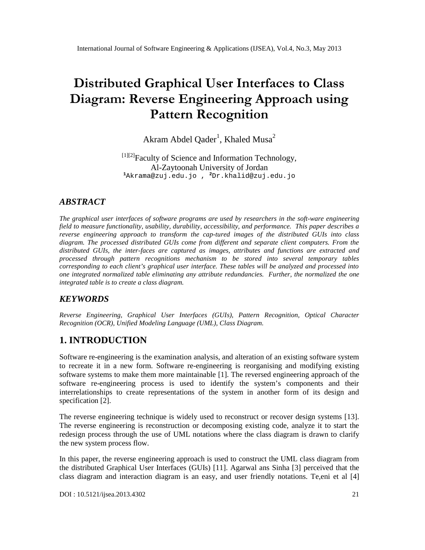# Distributed Graphical User Interfac Diagram: Reverse Engineering Appr Pattern Recognition

## Akram Abdel Qade<sup>l</sup>r, Khaled Musa

[1][2] Faculty of Science and Information Technology Al-Zaytoonah University of Jordan <sup>1</sup>[Akrama@zuj.edu.jo](mailto:1Akrama@zuj.edu) , <sup>2</sup>Dr.k[halid@zuj.edu.jo](mailto:khalid@zuj.edu)

### ABSTRACT

The graphical user interfaces of software programs are used by researchers in tware often gineering field to measure functionality, usability, durability, accessibility, and performance. This paper describes a reverse engineering approach to transfort me captured images of the distributed GUIs into class diagram. The processed distributed GUIs come from different and separate client computers. From the distributed GUIs, the intefaces are captured as images, attributes and functions are extracted an processed through pattern recognitions mechanism to be stored into several temporary tables corresponding to each client€s graphical user interface. These tables will be analyzed and processed into one integrated normalized table eliminating any attributedundancies. Further, the normalized the one integrated table is to create a class diagram.

### **KEYWORDS**

Reverse Engineering, Graphical User Interfaces (GUIs), Pattern Recognition, Optical Character Recognition (OCR), Unified Modeling Language (UML)ass Diagram.

### 1. INTRODUCTION

Software reengineering is the examination analysis, and alteration of an existing software system to recreate it in a new form. Software enegineering is rerganising and modifying existing software systems to make them momaintainable<sup>[1]</sup>. The reversed engineering approach of the software reengineering process is used to identify the system€s components and their interrelationships to create representations of the system in another form of its design and specification [2].

The reverse enjineering technique is widely used to reconstruct or recover design systems [13]. The reverse engineering is reconstruction or decomposing existing code, analyze it to start the redesign process through the use of UML notations where the class diagram isted clarify the new system process flow.

In this paper, the reverse engineering approach is used to construct the UML class diagram from the distributed Graphical User Interfaces (GUIs) [11]. Agarwal ans Sinha [3] perceived that the class diagram and interaction diagram is an easy, and usedly rientations. Te, eni et al  $[4]$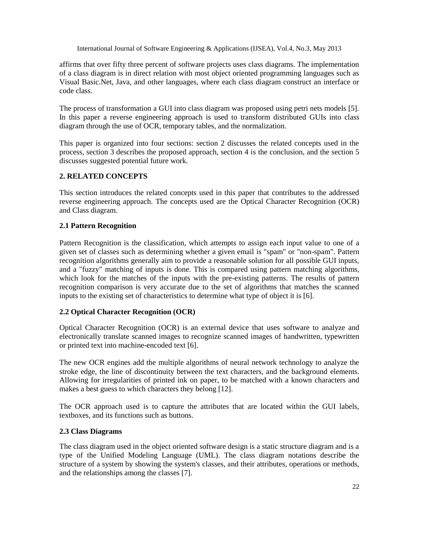affirms that over fifty three percent of software projects uses class diagrams. The implementation of a class diagram is in direct relation with most object oriented programming languages such as Visual Basic.Net, Java, and other languages, where each class diagram construct an interface or code class.

The process of transformation a GUI into class diagram was proposed using petri nets models [5]. In this paper a reverse engineering approach is used to transform distributed GUIs into class diagram through the use of OCR, temporary tables, and the normalization.

This paper is organized into four sections: section 2 discusses the related concepts used in the process, section 3 describes the proposed approach, section 4 is the conclusion, and the section 5 discusses suggested potential future work.

#### **2. RELATED CONCEPTS**

This section introduces the related concepts used in this paper that contributes to the addressed reverse engineering approach. The concepts used are the Optical Character Recognition (OCR) and Class diagram.

#### **2.1 Pattern Recognition**

Pattern Recognition is the classification, which attempts to assign each input value to one of a given set of classes such as determining whether a given email is "spam" or "non-spam". Pattern recognition algorithms generally aim to provide a reasonable solution for all possible GUI inputs, and a "fuzzy" matching of inputs is done. This is compared using pattern matching algorithms, which look for the matches of the inputs with the pre-existing patterns. The results of pattern recognition comparison is very accurate due to the set of algorithms that matches the scanned inputs to the existing set of characteristics to determine what type of object it is [6].

#### **2.2 Optical Character Recognition (OCR)**

Optical Character Recognition (OCR) is an external device that uses software to analyze and electronically translate scanned images to recognize scanned images of handwritten, typewritten or printed text into machine-encoded text [6].

The new OCR engines add the multiple algorithms of neural network technology to analyze the stroke edge, the line of discontinuity between the text characters, and the background elements. Allowing for irregularities of printed ink on paper, to be matched with a known characters and makes a best guess to which characters they belong [12].

The OCR approach used is to capture the attributes that are located within the GUI labels, textboxes, and its functions such as buttons.

#### **2.3 Class Diagrams**

The class diagram used in the object oriented software design is a static structure diagram and is a type of the Unified Modeling Language (UML). The class diagram notations describe the structure of a system by showing the system's classes, and their attributes, operations or methods, and the relationships among the classes [7].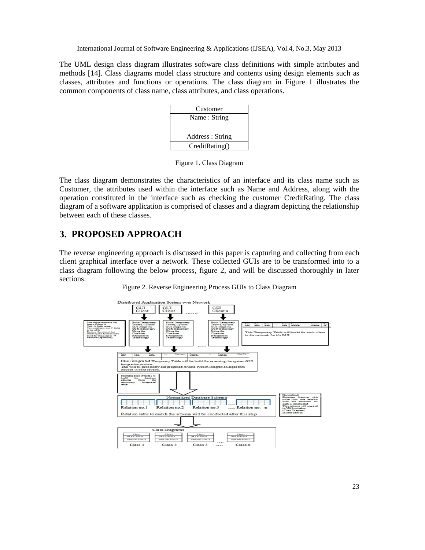The UML design class diagram illustrates software class definitions with simple attributes and methods [14]. Class diagrams model class structure and contents using design elements such as classes, attributes and functions or operations. The class diagram in Figure 1 illustrates the common components of class name, class attributes, and class operations.



Figure 1. Class Diagram

The class diagram demonstrates the characteristics of an interface and its class name such as Customer, the attributes used within the interface such as Name and Address, along with the operation constituted in the interface such as checking the customer CreditRating. The class diagram of a software application is comprised of classes and a diagram depicting the relationship between each of these classes.

### **3. PROPOSED APPROACH**

The reverse engineering approach is discussed in this paper is capturing and collecting from each client graphical interface over a network. These collected GUIs are to be transformed into to a class diagram following the below process, figure 2, and will be discussed thoroughly in later sections.



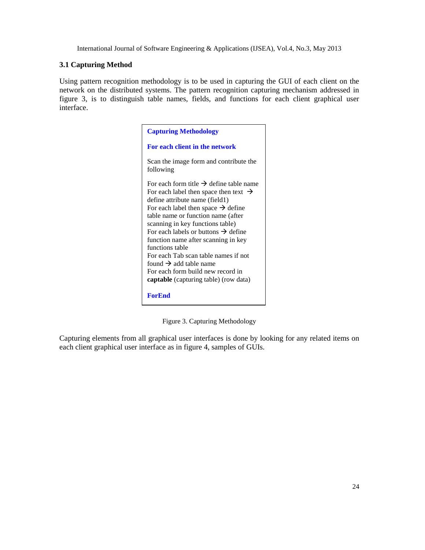#### **3.1 Capturing Method**

Using pattern recognition methodology is to be used in capturing the GUI of each client on the network on the distributed systems. The pattern recognition capturing mechanism addressed in figure 3, is to distinguish table names, fields, and functions for each client graphical user interface.

| <b>Capturing Methodology</b>                                                                                                                                                                                                                                                                                                                                                                                                                                                                                                                           |
|--------------------------------------------------------------------------------------------------------------------------------------------------------------------------------------------------------------------------------------------------------------------------------------------------------------------------------------------------------------------------------------------------------------------------------------------------------------------------------------------------------------------------------------------------------|
| For each client in the network                                                                                                                                                                                                                                                                                                                                                                                                                                                                                                                         |
| Scan the image form and contribute the<br>following                                                                                                                                                                                                                                                                                                                                                                                                                                                                                                    |
| For each form title $\rightarrow$ define table name<br>For each label then space then text $\rightarrow$<br>define attribute name (field1)<br>For each label then space $\rightarrow$ define<br>table name or function name (after<br>scanning in key functions table)<br>For each labels or buttons $\rightarrow$ define<br>function name after scanning in key<br>functions table<br>For each Tab scan table names if not<br>found $\rightarrow$ add table name<br>For each form build new record in<br><b>captable</b> (capturing table) (row data) |
| <b>ForEnd</b>                                                                                                                                                                                                                                                                                                                                                                                                                                                                                                                                          |

Figure 3. Capturing Methodology

Capturing elements from all graphical user interfaces is done by looking for any related items on each client graphical user interface as in figure 4, samples of GUIs.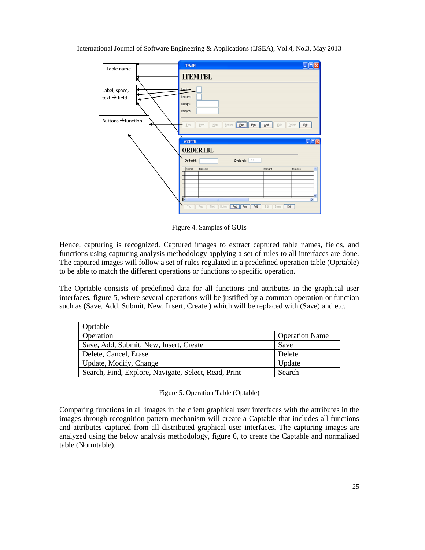

Figure 4. Samples of GUIs

Hence, capturing is recognized. Captured images to extract captured table names, fields, and functions using capturing analysis methodology applying a set of rules to all interfaces are done. The captured images will follow a set of rules regulated in a predefined operation table (Oprtable) to be able to match the different operations or functions to specific operation.

The Oprtable consists of predefined data for all functions and attributes in the graphical user interfaces, figure 5, where several operations will be justified by a common operation or function such as (Save, Add, Submit, New, Insert, Create ) which will be replaced with (Save) and etc.

| Oprtable                                             |                       |
|------------------------------------------------------|-----------------------|
| Operation                                            | <b>Operation Name</b> |
| Save, Add, Submit, New, Insert, Create               | Save                  |
| Delete, Cancel, Erase                                | Delete                |
| Update, Modify, Change                               | Update                |
| Search, Find, Explore, Navigate, Select, Read, Print | Search                |

Figure 5. Operation Table (Optable)

Comparing functions in all images in the client graphical user interfaces with the attributes in the images through recognition pattern mechanism will create a Captable that includes all functions and attributes captured from all distributed graphical user interfaces. The capturing images are analyzed using the below analysis methodology, figure 6, to create the Captable and normalized table (Normtable).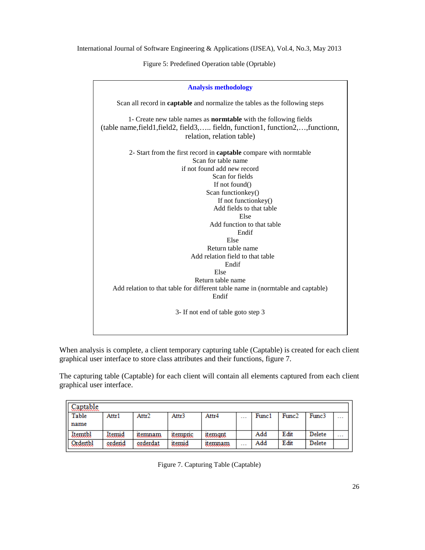Figure 5: Predefined Operation table (Oprtable)



When analysis is complete, a client temporary capturing table (Captable) is created for each client graphical user interface to store class attributes and their functions, figure 7.

The capturing table (Captable) for each client will contain all elements captured from each client graphical user interface.

| Captable<br>,,,,,,,,,,,,,,,,, |        |          |        |         |                      |       |       |        |                      |
|-------------------------------|--------|----------|--------|---------|----------------------|-------|-------|--------|----------------------|
| Table                         | Attr1  | Attr2    | Attr3  | Attr4   | $\sim$ $\sim$ $\sim$ | Func1 | Func2 | Func3  | $\sim$ $\sim$ $\sim$ |
| name                          |        |          |        |         |                      |       |       |        |                      |
| Itemtbl                       | Itemid | itemnam  | uempne | uemgnt  |                      | Add   | Edit  | Delete | .                    |
| Qxdextbl                      | ardend | orderdat | ıtemıd | itemnam | $\cdots$             | Add   | Edit  | Delete |                      |

Figure 7. Capturing Table (Captable)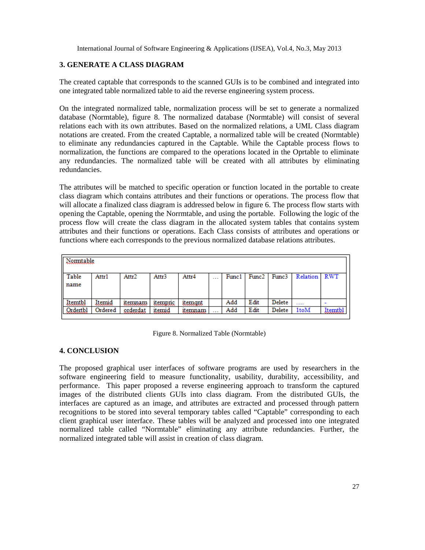#### **3. GENERATE A CLASS DIAGRAM**

The created captable that corresponds to the scanned GUIs is to be combined and integrated into one integrated table normalized table to aid the reverse engineering system process.

On the integrated normalized table, normalization process will be set to generate a normalized database (Normtable), figure 8. The normalized database (Normtable) will consist of several relations each with its own attributes. Based on the normalized relations, a UML Class diagram notations are created. From the created Captable, a normalized table will be created (Normtable) to eliminate any redundancies captured in the Captable. While the Captable process flows to normalization, the functions are compared to the operations located in the Oprtable to eliminate any redundancies. The normalized table will be created with all attributes by eliminating redundancies.

The attributes will be matched to specific operation or function located in the portable to create class diagram which contains attributes and their functions or operations. The process flow that will allocate a finalized class diagram is addressed below in figure 6. The process flow starts with opening the Captable, opening the Norrmtable, and using the portable. Following the logic of the process flow will create the class diagram in the allocated system tables that contains system attributes and their functions or operations. Each Class consists of attributes and operations or functions where each corresponds to the previous normalized database relations attributes.

| Nomiable        |         |          |        |               |                      |       |                   |        |          |               |
|-----------------|---------|----------|--------|---------------|----------------------|-------|-------------------|--------|----------|---------------|
| Table<br>name   | Attr1   | Attr2    | Attr3  | Attr4         | $\sim$ $\sim$ $\sim$ | Func1 | Func <sub>2</sub> | Func3  | Relation | <b>RWT</b>    |
| Itemtbl         | ltemid  | itemnam  | uempno | uemgnt        |                      | Add   | Edit              | Delete | 1.1.1    |               |
| <u>Ordertbl</u> | Ordered | orderdat | itemid | <u>uemnam</u> | $\cdots$             | Add   | Edit              | Delete | 1toM     | <b>Itemtb</b> |

Figure 8. Normalized Table (Normtable)

#### **4. CONCLUSION**

The proposed graphical user interfaces of software programs are used by researchers in the software engineering field to measure functionality, usability, durability, accessibility, and performance. This paper proposed a reverse engineering approach to transform the captured images of the distributed clients GUIs into class diagram. From the distributed GUIs, the interfaces are captured as an image, and attributes are extracted and processed through pattern recognitions to be stored into several temporary tables called "Captable" corresponding to each client graphical user interface. These tables will be analyzed and processed into one integrated normalized table called "Normtable" eliminating any attribute redundancies. Further, the normalized integrated table will assist in creation of class diagram.